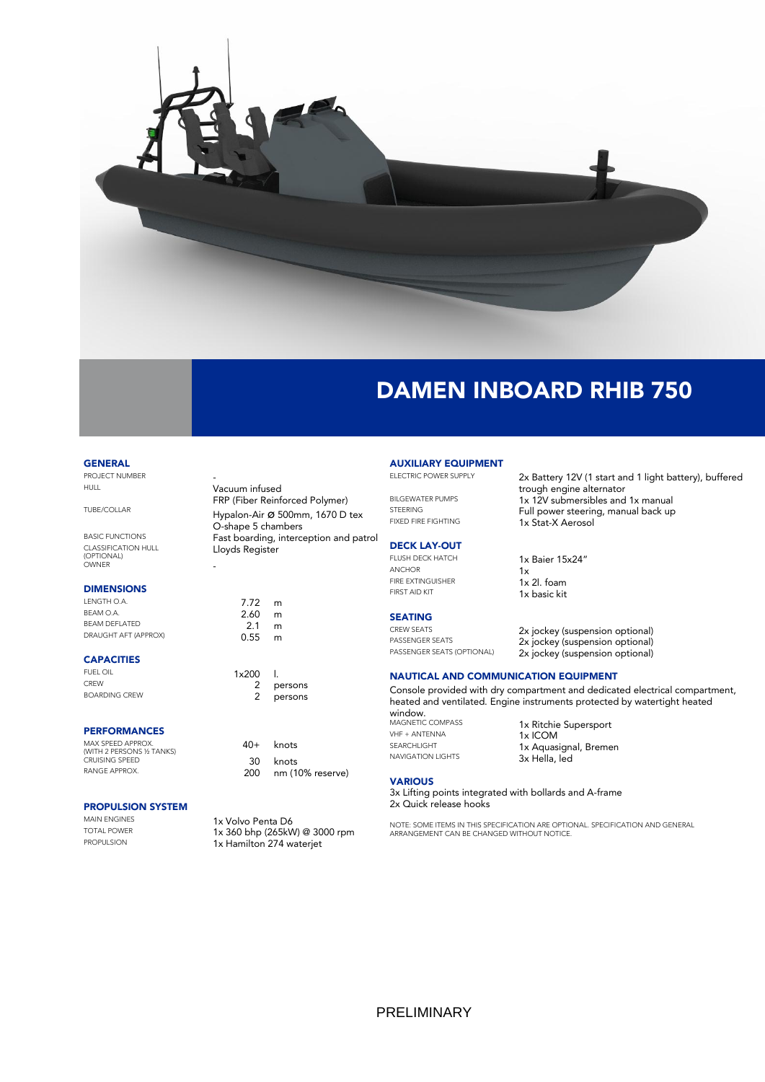

# DAMEN INBOARD RHIB 750

#### **GENERAL**

PROJECT NUMBER<br>HULL

TUBE/COLLAR Hypalon-Air ø 500mm, 1670 D tex

BASIC FUNCTIONS **Fast boarding, interception and patrol** CLASSIFICATION HULL (OPTIONAL) OWNER -

### DIMENSIONS

LENGTH O.A. 7.72 m<br>BEAM O.A. 7.60 m  $BEAM O.A.$  2.60 m BEAM DEFLATED **2.1 m** DRAUGHT AFT (APPROX) **0.55** m

#### **CAPACITIES**

FUEL OIL  $1 \times 200$  I.<br>
CREW 2 p CREW 2 persons<br>
BOARDING CREW 2 persons

## PERFORMANCES

| MAX SPFFD APPROX.<br>(WITH 2 PERSONS 1⁄2 TANKS) |     | $40+$ knots      |
|-------------------------------------------------|-----|------------------|
| <b>CRUISING SPEED</b>                           |     | 30 knots         |
| RANGE APPROX.                                   | 200 | nm (10% reserve) |

Vacuum infused

Lloyds Register

O-shape 5 chambers

FRP (Fiber Reinforced Polymer)

# **PROPULSION SYSTEM**<br>MAIN ENGINES

MAIN ENGINES<br>
TOTAL POWER
1x 360 bbn (265kM TOTAL POWER<br>PROPULSION **1x Homilton 274 wateriot** 1x Hamilton 274 waterjet

persons

# **AUXILIARY EQUIPMENT**<br>ELECTRIC POWER SUPPLY

## DECK LAY-OUT

 $\overline{\text{1x}}$ FIRE EXTINGUISHER 1x 2l. foam FIRST AID KIT 1x basic kit

# **SEATING**<br>CREW SEATS

2x Battery 12V (1 start and 1 light battery), buffered trough engine alternator BILGEWATER PUMPS 1x 12V submersibles and 1x manual<br>STEERING 1x 12V submersibles and 1x manual STEERING<br>FIXED FIRE FIGHTING **FULL STATE AT A STAT Y A Accord** 1x Stat-X Aerosol

# FLUSH DECK HATCH<br>ANCHOR<br>1x<br>1x

CREW SEATS<br>
PASSENGER SEATS<br>
2x jockey (suspension optional) PASSENGER SEATS 2x jockey (suspension optional)<br>
PASSENGER SEATS (OPTIONAL) 2x jockey (suspension optional) 2x jockey (suspension optional)

## NAUTICAL AND COMMUNICATION EQUIPMENT

Console provided with dry compartment and dedicated electrical compartment, heated and ventilated. Engine instruments protected by watertight heated

window.<br>MAGNETIC COMPASS VHF + ANTENNA<br>SEARCHLIGHT 1x AQUAS

MAGNETIC COMPASS 1x Ritchie Supersport<br>  $1 \times 10^{10}$  MHF + ANTENNA SEARCHLIGHT 1x Aquasignal, Bremen<br>
NAVIGATION LIGHTS 3x Hella led 3x Hella, led

## **VARIOUS**

3x Lifting points integrated with bollards and A-frame 2x Quick release hooks

NOTE: SOME ITEMS IN THIS SPECIFICATION ARE OPTIONAL. SPECIFICATION AND GENERAL ARRANGEMENT CAN BE CHANGED WITHOUT NOTICE.